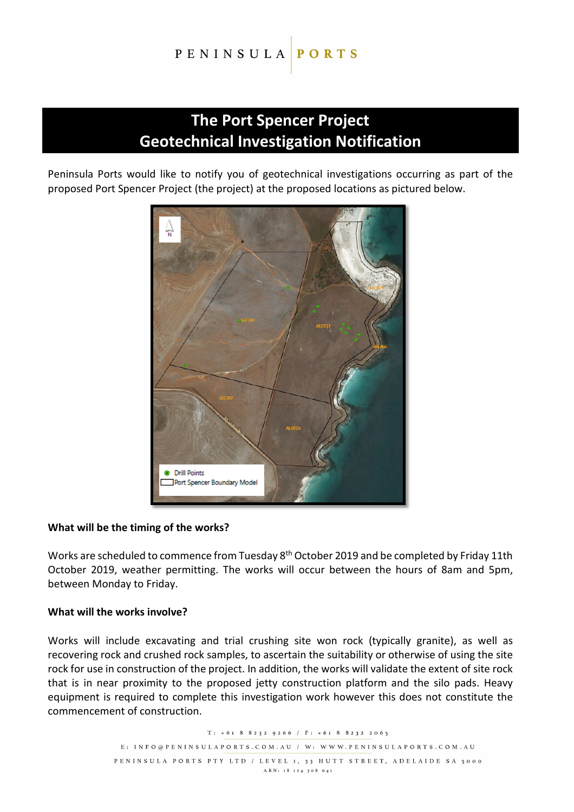#### PENINSULA PORTS

## **The Port Spencer Project Geotechnical Investigation Notification**

Peninsula Ports would like to notify you of geotechnical investigations occurring as part of the proposed Port Spencer Project (the project) at the proposed locations as pictured below.



## **What will be the timing of the works?**

Works are scheduled to commence from Tuesday 8th October 2019 and be completed by Friday 11th October 2019, weather permitting. The works will occur between the hours of 8am and 5pm, between Monday to Friday.

## **What will the works involve?**

Works will include excavating and trial crushing site won rock (typically granite), as well as recovering rock and crushed rock samples, to ascertain the suitability or otherwise of using the site rock for use in construction of the project. In addition, the works will validate the extent of site rock that is in near proximity to the proposed jetty construction platform and the silo pads. Heavy equipment is required to complete this investigation work however this does not constitute the commencement of construction.

> $T: +6I 8 8232 9266$  /  $F: +6I 8 8232 2065$ E: INFO@PENINSULAPORTS.COM.AU / W: WWW.PENINSULAPORTS.COM.AU PENINSULA PORTS PTY LTD / LEVEL 1, 33 HUTT STREET, ADELAIDE SA 5000 ABN: 18 124 308 041